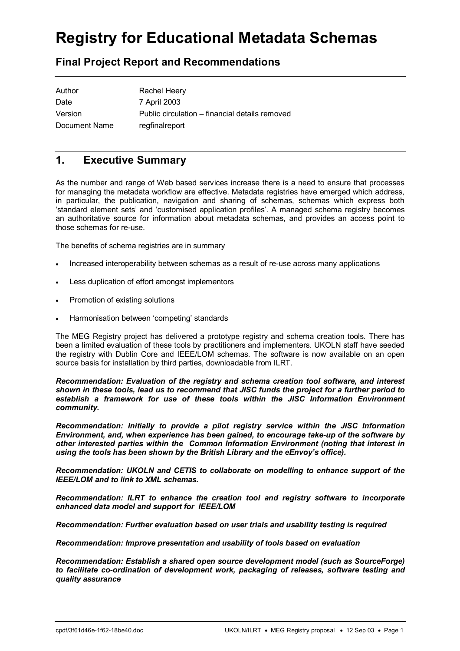# **Registry for Educational Metadata Schemas**

# **Final Project Report and Recommendations**

| Author        | Rachel Heery                                   |
|---------------|------------------------------------------------|
| Date          | 7 April 2003                                   |
| Version       | Public circulation – financial details removed |
| Document Name | regfinalreport                                 |

## **1. Executive Summary**

As the number and range of Web based services increase there is a need to ensure that processes for managing the metadata workflow are effective. Metadata registries have emerged which address, in particular, the publication, navigation and sharing of schemas, schemas which express both ëstandard element setsí and ëcustomised application profilesí. A managed schema registry becomes an authoritative source for information about metadata schemas, and provides an access point to those schemas for re-use.

The benefits of schema registries are in summary

- Increased interoperability between schemas as a result of re-use across many applications
- Less duplication of effort amongst implementors
- Promotion of existing solutions
- Harmonisation between 'competing' standards

The MEG Registry project has delivered a prototype registry and schema creation tools. There has been a limited evaluation of these tools by practitioners and implementers. UKOLN staff have seeded the registry with Dublin Core and IEEE/LOM schemas. The software is now available on an open source basis for installation by third parties, downloadable from ILRT.

*Recommendation: Evaluation of the registry and schema creation tool software, and interest shown in these tools, lead us to recommend that JISC funds the project for a further period to establish a framework for use of these tools within the JISC Information Environment community.* 

*Recommendation: Initially to provide a pilot registry service within the JISC Information Environment, and, when experience has been gained, to encourage take-up of the software by other interested parties within the Common Information Environment (noting that interest in using the tools has been shown by the British Library and the eEnvoy's office).* 

*Recommendation: UKOLN and CETIS to collaborate on modelling to enhance support of the IEEE/LOM and to link to XML schemas.*

*Recommendation: ILRT to enhance the creation tool and registry software to incorporate enhanced data model and support for IEEE/LOM* 

*Recommendation: Further evaluation based on user trials and usability testing is required* 

*Recommendation: Improve presentation and usability of tools based on evaluation* 

*Recommendation: Establish a shared open source development model (such as SourceForge) to facilitate co-ordination of development work, packaging of releases, software testing and quality assurance*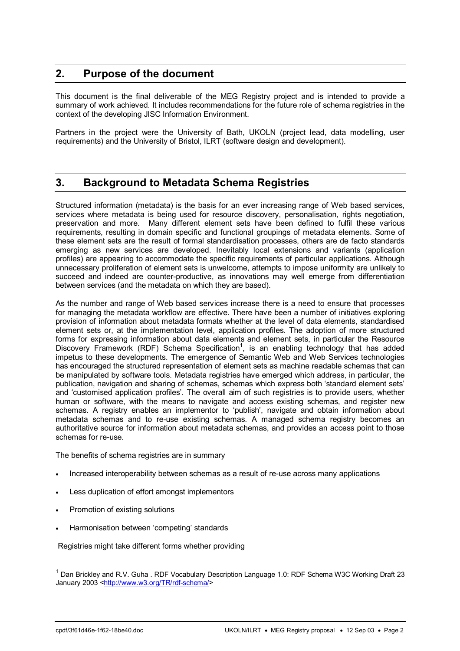# **2. Purpose of the document**

This document is the final deliverable of the MEG Registry project and is intended to provide a summary of work achieved. It includes recommendations for the future role of schema registries in the context of the developing JISC Information Environment.

Partners in the project were the University of Bath, UKOLN (project lead, data modelling, user requirements) and the University of Bristol, ILRT (software design and development).

# **3. Background to Metadata Schema Registries**

Structured information (metadata) is the basis for an ever increasing range of Web based services, services where metadata is being used for resource discovery, personalisation, rights negotiation, preservation and more. Many different element sets have been defined to fulfil these various requirements, resulting in domain specific and functional groupings of metadata elements. Some of these element sets are the result of formal standardisation processes, others are de facto standards emerging as new services are developed. Inevitably local extensions and variants (application profiles) are appearing to accommodate the specific requirements of particular applications. Although unnecessary proliferation of element sets is unwelcome, attempts to impose uniformity are unlikely to succeed and indeed are counter-productive, as innovations may well emerge from differentiation between services (and the metadata on which they are based).

As the number and range of Web based services increase there is a need to ensure that processes for managing the metadata workflow are effective. There have been a number of initiatives exploring provision of information about metadata formats whether at the level of data elements, standardised element sets or, at the implementation level, application profiles. The adoption of more structured forms for expressing information about data elements and element sets, in particular the Resource Discovery Framework (RDF) Schema Specification<sup>1</sup>, is an enabling technology that has added impetus to these developments. The emergence of Semantic Web and Web Services technologies has encouraged the structured representation of element sets as machine readable schemas that can be manipulated by software tools. Metadata registries have emerged which address, in particular, the publication, navigation and sharing of schemas, schemas which express both 'standard element sets' and ëcustomised application profilesí. The overall aim of such registries is to provide users, whether human or software, with the means to navigate and access existing schemas, and register new schemas. A registry enables an implementor to 'publish', navigate and obtain information about metadata schemas and to re-use existing schemas. A managed schema registry becomes an authoritative source for information about metadata schemas, and provides an access point to those schemas for re-use.

The benefits of schema registries are in summary

- Increased interoperability between schemas as a result of re-use across many applications
- Less duplication of effort amongst implementors
- Promotion of existing solutions
- Harmonisation between 'competing' standards

Registries might take different forms whether providing

l

 $<sup>1</sup>$  Dan Brickley and R.V. Guha . RDF Vocabulary Description Language 1.0: RDF Schema W3C Working Draft 23</sup> January 2003 <http://www.w3.org/TR/rdf-schema/>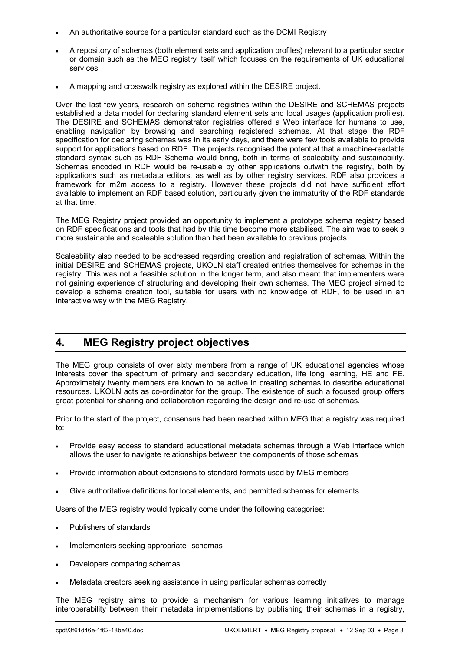- An authoritative source for a particular standard such as the DCMI Registry
- A repository of schemas (both element sets and application profiles) relevant to a particular sector or domain such as the MEG registry itself which focuses on the requirements of UK educational services
- A mapping and crosswalk registry as explored within the DESIRE project.

Over the last few years, research on schema registries within the DESIRE and SCHEMAS projects established a data model for declaring standard element sets and local usages (application profiles). The DESIRE and SCHEMAS demonstrator registries offered a Web interface for humans to use, enabling navigation by browsing and searching registered schemas. At that stage the RDF specification for declaring schemas was in its early days, and there were few tools available to provide support for applications based on RDF. The projects recognised the potential that a machine-readable standard syntax such as RDF Schema would bring, both in terms of scaleabilty and sustainability. Schemas encoded in RDF would be re-usable by other applications outwith the registry, both by applications such as metadata editors, as well as by other registry services. RDF also provides a framework for m2m access to a registry. However these projects did not have sufficient effort available to implement an RDF based solution, particularly given the immaturity of the RDF standards at that time.

The MEG Registry project provided an opportunity to implement a prototype schema registry based on RDF specifications and tools that had by this time become more stabilised. The aim was to seek a more sustainable and scaleable solution than had been available to previous projects.

Scaleability also needed to be addressed regarding creation and registration of schemas. Within the initial DESIRE and SCHEMAS projects, UKOLN staff created entries themselves for schemas in the registry. This was not a feasible solution in the longer term, and also meant that implementers were not gaining experience of structuring and developing their own schemas. The MEG project aimed to develop a schema creation tool, suitable for users with no knowledge of RDF, to be used in an interactive way with the MEG Registry.

# **4. MEG Registry project objectives**

The MEG group consists of over sixty members from a range of UK educational agencies whose interests cover the spectrum of primary and secondary education, life long learning, HE and FE. Approximately twenty members are known to be active in creating schemas to describe educational resources. UKOLN acts as co-ordinator for the group. The existence of such a focused group offers great potential for sharing and collaboration regarding the design and re-use of schemas.

Prior to the start of the project, consensus had been reached within MEG that a registry was required to:

- Provide easy access to standard educational metadata schemas through a Web interface which allows the user to navigate relationships between the components of those schemas
- Provide information about extensions to standard formats used by MEG members
- Give authoritative definitions for local elements, and permitted schemes for elements

Users of the MEG registry would typically come under the following categories:

- Publishers of standards
- Implementers seeking appropriate schemas
- Developers comparing schemas
- Metadata creators seeking assistance in using particular schemas correctly

The MEG registry aims to provide a mechanism for various learning initiatives to manage interoperability between their metadata implementations by publishing their schemas in a registry,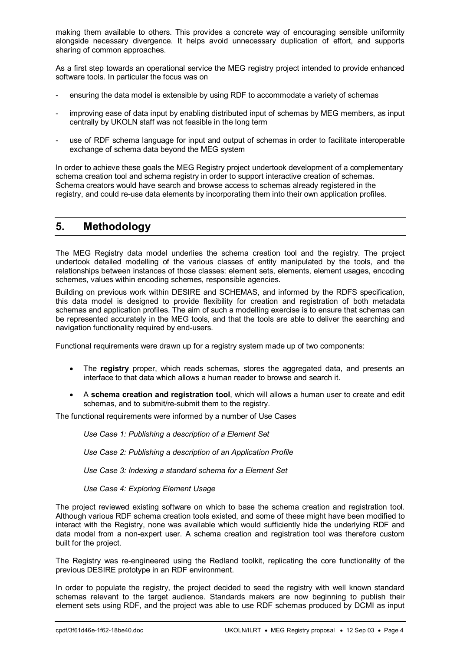making them available to others. This provides a concrete way of encouraging sensible uniformity alongside necessary divergence. It helps avoid unnecessary duplication of effort, and supports sharing of common approaches.

As a first step towards an operational service the MEG registry project intended to provide enhanced software tools. In particular the focus was on

- ensuring the data model is extensible by using RDF to accommodate a variety of schemas
- improving ease of data input by enabling distributed input of schemas by MEG members, as input centrally by UKOLN staff was not feasible in the long term
- use of RDF schema language for input and output of schemas in order to facilitate interoperable exchange of schema data beyond the MEG system

In order to achieve these goals the MEG Registry project undertook development of a complementary schema creation tool and schema registry in order to support interactive creation of schemas. Schema creators would have search and browse access to schemas already registered in the registry, and could re-use data elements by incorporating them into their own application profiles.

### **5. Methodology**

The MEG Registry data model underlies the schema creation tool and the registry. The project undertook detailed modelling of the various classes of entity manipulated by the tools, and the relationships between instances of those classes: element sets, elements, element usages, encoding schemes, values within encoding schemes, responsible agencies.

Building on previous work within DESIRE and SCHEMAS, and informed by the RDFS specification, this data model is designed to provide flexibility for creation and registration of both metadata schemas and application profiles. The aim of such a modelling exercise is to ensure that schemas can be represented accurately in the MEG tools, and that the tools are able to deliver the searching and navigation functionality required by end-users.

Functional requirements were drawn up for a registry system made up of two components:

- The **registry** proper, which reads schemas, stores the aggregated data, and presents an interface to that data which allows a human reader to browse and search it.
- A **schema creation and registration tool**, which will allows a human user to create and edit schemas, and to submit/re-submit them to the registry.

The functional requirements were informed by a number of Use Cases

*Use Case 1: Publishing a description of a Element Set* 

*Use Case 2: Publishing a description of an Application Profile* 

*Use Case 3: Indexing a standard schema for a Element Set* 

*Use Case 4: Exploring Element Usage* 

The project reviewed existing software on which to base the schema creation and registration tool. Although various RDF schema creation tools existed, and some of these might have been modified to interact with the Registry, none was available which would sufficiently hide the underlying RDF and data model from a non-expert user. A schema creation and registration tool was therefore custom built for the project.

The Registry was re-engineered using the Redland toolkit, replicating the core functionality of the previous DESIRE prototype in an RDF environment.

In order to populate the registry, the project decided to seed the registry with well known standard schemas relevant to the target audience. Standards makers are now beginning to publish their element sets using RDF, and the project was able to use RDF schemas produced by DCMI as input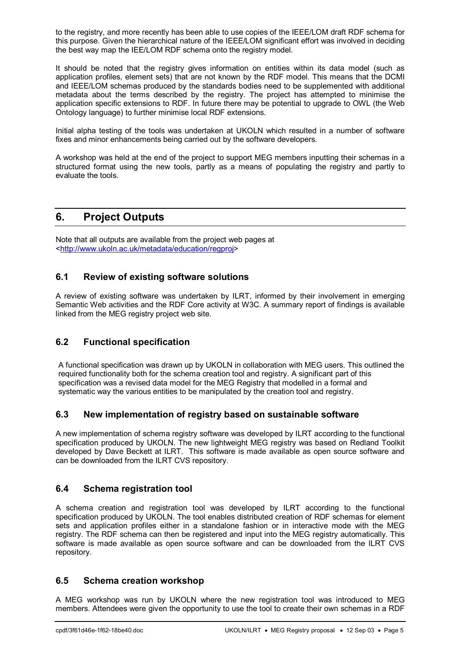to the registry, and more recently has been able to use copies of the IEEE/LOM draft RDF schema for this purpose. Given the hierarchical nature of the IEEE/LOM significant effort was involved in deciding the best way map the IEE/LOM RDF schema onto the registry model.

It should be noted that the registry gives information on entities within its data model (such as application profiles, element sets) that are not known by the RDF model. This means that the DCMI and IEEE/LOM schemas produced by the standards bodies need to be supplemented with additional metadata about the terms described by the registry. The project has attempted to minimise the application specific extensions to RDF. In future there may be potential to upgrade to OWL (the Web Ontology language) to further minimise local RDF extensions.

Initial alpha testing of the tools was undertaken at UKOLN which resulted in a number of software fixes and minor enhancements being carried out by the software developers.

A workshop was held at the end of the project to support MEG members inputting their schemas in a structured format using the new tools, partly as a means of populating the registry and partly to evaluate the tools.

# **6. Project Outputs**

Note that all outputs are available from the project web pages at <http://www.ukoln.ac.uk/metadata/education/regproj>

#### **6.1 Review of existing software solutions**

A review of existing software was undertaken by ILRT, informed by their involvement in emerging Semantic Web activities and the RDF Core activity at W3C. A summary report of findings is available linked from the MEG registry project web site.

## **6.2 Functional specification**

A functional specification was drawn up by UKOLN in collaboration with MEG users. This outlined the required functionality both for the schema creation tool and registry. A significant part of this specification was a revised data model for the MEG Registry that modelled in a formal and systematic way the various entities to be manipulated by the creation tool and registry.

#### **6.3 New implementation of registry based on sustainable software**

A new implementation of schema registry software was developed by ILRT according to the functional specification produced by UKOLN. The new lightweight MEG registry was based on Redland Toolkit developed by Dave Beckett at ILRT. This software is made available as open source software and can be downloaded from the ILRT CVS repository.

#### **6.4 Schema registration tool**

A schema creation and registration tool was developed by ILRT according to the functional specification produced by UKOLN. The tool enables distributed creation of RDF schemas for element sets and application profiles either in a standalone fashion or in interactive mode with the MEG registry. The RDF schema can then be registered and input into the MEG registry automatically. This software is made available as open source software and can be downloaded from the ILRT CVS repository.

#### **6.5 Schema creation workshop**

A MEG workshop was run by UKOLN where the new registration tool was introduced to MEG members. Attendees were given the opportunity to use the tool to create their own schemas in a RDF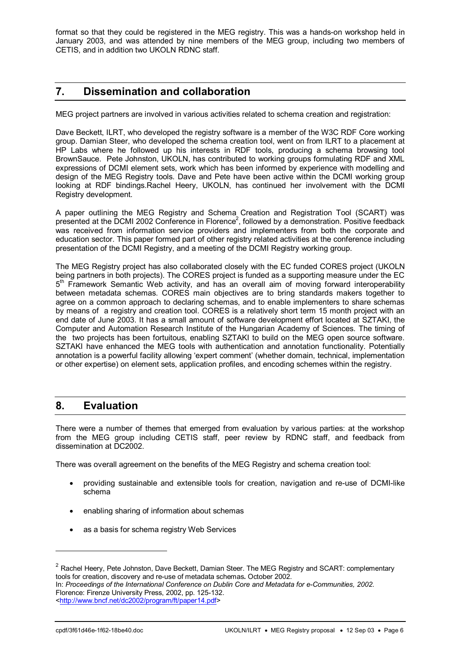format so that they could be registered in the MEG registry. This was a hands-on workshop held in January 2003, and was attended by nine members of the MEG group, including two members of CETIS, and in addition two UKOLN RDNC staff.

# **7. Dissemination and collaboration**

MEG project partners are involved in various activities related to schema creation and registration:

Dave Beckett, ILRT, who developed the registry software is a member of the W3C RDF Core working group. Damian Steer, who developed the schema creation tool, went on from ILRT to a placement at HP Labs where he followed up his interests in RDF tools, producing a schema browsing tool BrownSauce. Pete Johnston, UKOLN, has contributed to working groups formulating RDF and XML expressions of DCMI element sets, work which has been informed by experience with modelling and design of the MEG Registry tools. Dave and Pete have been active within the DCMI working group looking at RDF bindings.Rachel Heery, UKOLN, has continued her involvement with the DCMI Registry development.

A paper outlining the MEG Registry and Schema Creation and Registration Tool (SCART) was presented at the DCMI 2002 Conference in Florence<sup>2</sup>, followed by a demonstration. Positive feedback was received from information service providers and implementers from both the corporate and education sector. This paper formed part of other registry related activities at the conference including presentation of the DCMI Registry, and a meeting of the DCMI Registry working group.

The MEG Registry project has also collaborated closely with the EC funded CORES project (UKOLN being partners in both projects). The CORES project is funded as a supporting measure under the EC 5<sup>th</sup> Framework Semantic Web activity, and has an overall aim of moving forward interoperability between metadata schemas. CORES main objectives are to bring standards makers together to agree on a common approach to declaring schemas, and to enable implementers to share schemas by means of a registry and creation tool. CORES is a relatively short term 15 month project with an end date of June 2003. It has a small amount of software development effort located at SZTAKI, the Computer and Automation Research Institute of the Hungarian Academy of Sciences. The timing of the two projects has been fortuitous, enabling SZTAKI to build on the MEG open source software. SZTAKI have enhanced the MEG tools with authentication and annotation functionality. Potentially annotation is a powerful facility allowing 'expert comment' (whether domain, technical, implementation or other expertise) on element sets, application profiles, and encoding schemes within the registry.

## **8. Evaluation**

There were a number of themes that emerged from evaluation by various parties: at the workshop from the MEG group including CETIS staff, peer review by RDNC staff, and feedback from dissemination at DC2002.

There was overall agreement on the benefits of the MEG Registry and schema creation tool:

- providing sustainable and extensible tools for creation, navigation and re-use of DCMI-like schema
- enabling sharing of information about schemas
- as a basis for schema registry Web Services

l

 $2$  Rachel Heery, Pete Johnston, Dave Beckett, Damian Steer. The MEG Registry and SCART: complementary tools for creation, discovery and re-use of metadata schemas**.** October 2002.

In: *Proceedings of the International Conference on Dublin Core and Metadata for e-Communities, 2002*. Florence: Firenze University Press, 2002, pp. 125-132. <http://www.bncf.net/dc2002/program/ft/paper14.pdf>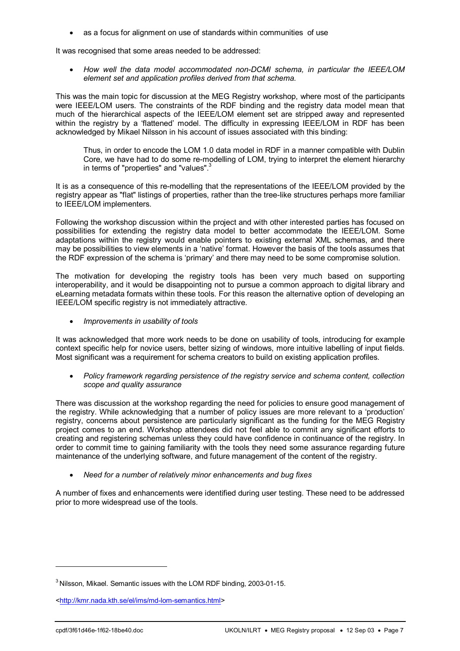• as a focus for alignment on use of standards within communities of use

It was recognised that some areas needed to be addressed:

• *How well the data model accommodated non-DCMI schema, in particular the IEEE/LOM element set and application profiles derived from that schema.* 

This was the main topic for discussion at the MEG Registry workshop, where most of the participants were IEEE/LOM users. The constraints of the RDF binding and the registry data model mean that much of the hierarchical aspects of the IEEE/LOM element set are stripped away and represented within the registry by a 'flattened' model. The difficulty in expressing IEEE/LOM in RDF has been acknowledged by Mikael Nilsson in his account of issues associated with this binding:

Thus, in order to encode the LOM 1.0 data model in RDF in a manner compatible with Dublin Core, we have had to do some re-modelling of LOM, trying to interpret the element hierarchy in terms of "properties" and "values".<sup>3</sup>

It is as a consequence of this re-modelling that the representations of the IEEE/LOM provided by the registry appear as "flat" listings of properties, rather than the tree-like structures perhaps more familiar to IEEE/LOM implementers.

Following the workshop discussion within the project and with other interested parties has focused on possibilities for extending the registry data model to better accommodate the IEEE/LOM. Some adaptations within the registry would enable pointers to existing external XML schemas, and there may be possibilities to view elements in a 'native' format. However the basis of the tools assumes that the RDF expression of the schema is 'primary' and there may need to be some compromise solution.

The motivation for developing the registry tools has been very much based on supporting interoperability, and it would be disappointing not to pursue a common approach to digital library and eLearning metadata formats within these tools. For this reason the alternative option of developing an IEEE/LOM specific registry is not immediately attractive.

• *Improvements in usability of tools* 

It was acknowledged that more work needs to be done on usability of tools, introducing for example context specific help for novice users, better sizing of windows, more intuitive labelling of input fields. Most significant was a requirement for schema creators to build on existing application profiles.

• *Policy framework regarding persistence of the registry service and schema content, collection scope and quality assurance* 

There was discussion at the workshop regarding the need for policies to ensure good management of the registry. While acknowledging that a number of policy issues are more relevant to a 'production' registry, concerns about persistence are particularly significant as the funding for the MEG Registry project comes to an end. Workshop attendees did not feel able to commit any significant efforts to creating and registering schemas unless they could have confidence in continuance of the registry. In order to commit time to gaining familiarity with the tools they need some assurance regarding future maintenance of the underlying software, and future management of the content of the registry.

• *Need for a number of relatively minor enhancements and bug fixes* 

A number of fixes and enhancements were identified during user testing. These need to be addressed prior to more widespread use of the tools.

l

<sup>3</sup> Nilsson, Mikael. Semantic issues with the LOM RDF binding, 2003-01-15.

<sup>&</sup>lt;http://kmr.nada.kth.se/el/ims/md-lom-semantics.html>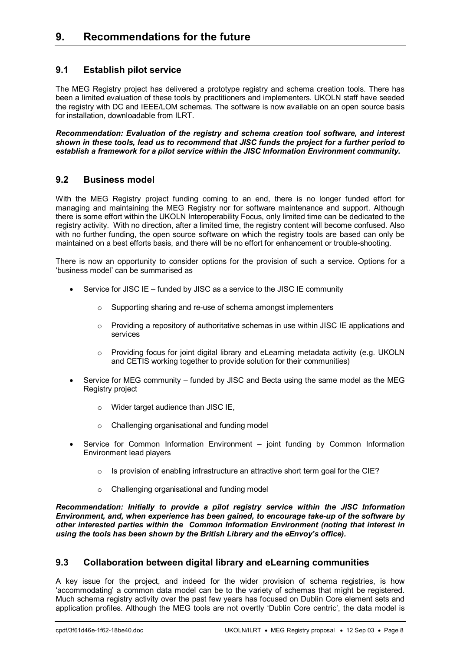# **9. Recommendations for the future**

#### **9.1 Establish pilot service**

The MEG Registry project has delivered a prototype registry and schema creation tools. There has been a limited evaluation of these tools by practitioners and implementers. UKOLN staff have seeded the registry with DC and IEEE/LOM schemas. The software is now available on an open source basis for installation, downloadable from ILRT.

*Recommendation: Evaluation of the registry and schema creation tool software, and interest shown in these tools, lead us to recommend that JISC funds the project for a further period to establish a framework for a pilot service within the JISC Information Environment community.*

#### **9.2 Business model**

With the MEG Registry project funding coming to an end, there is no longer funded effort for managing and maintaining the MEG Registry nor for software maintenance and support. Although there is some effort within the UKOLN Interoperability Focus, only limited time can be dedicated to the registry activity. With no direction, after a limited time, the registry content will become confused. Also with no further funding, the open source software on which the registry tools are based can only be maintained on a best efforts basis, and there will be no effort for enhancement or trouble-shooting.

There is now an opportunity to consider options for the provision of such a service. Options for a ëbusiness modelí can be summarised as

- Service for JISC IE  $-$  funded by JISC as a service to the JISC IE community
	- o Supporting sharing and re-use of schema amongst implementers
	- o Providing a repository of authoritative schemas in use within JISC IE applications and services
	- o Providing focus for joint digital library and eLearning metadata activity (e.g. UKOLN and CETIS working together to provide solution for their communities)
- Service for MEG community funded by JISC and Becta using the same model as the MEG Registry project
	- o Wider target audience than JISC IE,
	- o Challenging organisational and funding model
- Service for Common Information Environment joint funding by Common Information Environment lead players
	- $\circ$  Is provision of enabling infrastructure an attractive short term goal for the CIE?
	- o Challenging organisational and funding model

*Recommendation: Initially to provide a pilot registry service within the JISC Information Environment, and, when experience has been gained, to encourage take-up of the software by other interested parties within the Common Information Environment (noting that interest in using the tools has been shown by the British Library and the eEnvoy's office).* 

#### **9.3 Collaboration between digital library and eLearning communities**

A key issue for the project, and indeed for the wider provision of schema registries, is how ëaccommodatingí a common data model can be to the variety of schemas that might be registered. Much schema registry activity over the past few years has focused on Dublin Core element sets and application profiles. Although the MEG tools are not overtly 'Dublin Core centric', the data model is